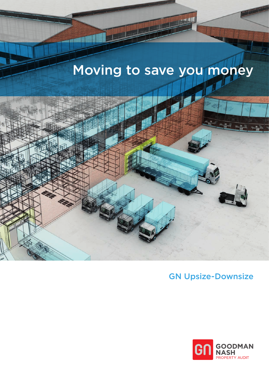# Moving to save you money



## GN Upsize-Downsize

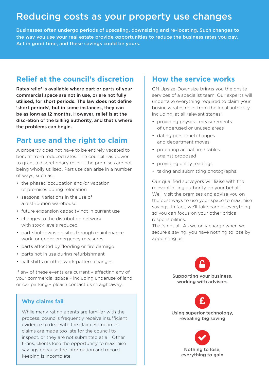# Reducing costs as your property use changes

Businesses often undergo periods of upscaling, downsizing and re-locating. Such changes to the way you use your real estate provide opportunities to reduce the business rates you pay. Act in good time, and these savings could be yours.

#### **Relief at the council's discretion**

Rates relief is available where part or parts of your commercial space are not in use, or are not fully utilised, for short periods. The law does not define 'short periods', but in some instances, they can be as long as 12 months. However, relief is at the discretion of the billing authority, and that's where the problems can begin.

#### **Part use and the right to claim**

A property does not have to be entirely vacated to benefit from reduced rates. The council has power to grant a discretionary relief if the premises are not being wholly utilised. Part use can arise in a number of ways, such as:

- the phased occupation and/or vacation of premises during relocation
- seasonal variations in the use of a distribution warehouse
- future expansion capacity not in current use
- changes to the distribution network with stock levels reduced
- part shutdowns on sites through maintenance work, or under emergency measures
- parts affected by flooding or fire damage
- parts not in use during refurbishment
- half shifts or other work pattern changes.

If any of these events are currently affecting any of your commercial space – including underuse of land or car parking – please contact us straightaway.

#### **Why claims fail**

While many rating agents are familiar with the process, councils frequently receive insufficient evidence to deal with the claim. Sometimes, claims are made too late for the council to inspect, or they are not submitted at all. Other times, clients lose the opportunity to maximise savings because the information and record keeping is incomplete.

#### **How the service works**

GN Upsize-Downsize brings you the onsite services of a specialist team. Our experts will undertake everything required to claim your business rates relief from the local authority, including, at all relevant stages:

- providing physical measurements of underused or unused areas
- dating personnel changes and department moves
- preparing actual time tables against proposed
- providing utility readings
- taking and submitting photographs.

Our qualified surveyors will liaise with the relevant billing authority on your behalf. We'll visit the premises and advise you on the best ways to use your space to maximise savings. In fact, we'll take care of everything so you can focus on your other critical responsibilities.

That's not all. As we only charge when we secure a saving, you have nothing to lose by appointing us.



ng superior technolc<br>revealing big saving<br>

 $\blacktriangledown$ Nothing to lose, everything to gain